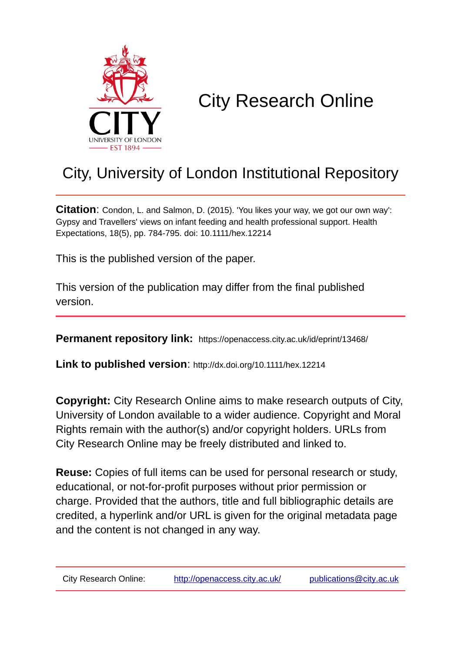

# City Research Online

## City, University of London Institutional Repository

**Citation**: Condon, L. and Salmon, D. (2015). 'You likes your way, we got our own way': Gypsy and Travellers' views on infant feeding and health professional support. Health Expectations, 18(5), pp. 784-795. doi: 10.1111/hex.12214

This is the published version of the paper.

This version of the publication may differ from the final published version.

**Permanent repository link:** https://openaccess.city.ac.uk/id/eprint/13468/

**Link to published version**: http://dx.doi.org/10.1111/hex.12214

**Copyright:** City Research Online aims to make research outputs of City, University of London available to a wider audience. Copyright and Moral Rights remain with the author(s) and/or copyright holders. URLs from City Research Online may be freely distributed and linked to.

**Reuse:** Copies of full items can be used for personal research or study, educational, or not-for-profit purposes without prior permission or charge. Provided that the authors, title and full bibliographic details are credited, a hyperlink and/or URL is given for the original metadata page and the content is not changed in any way.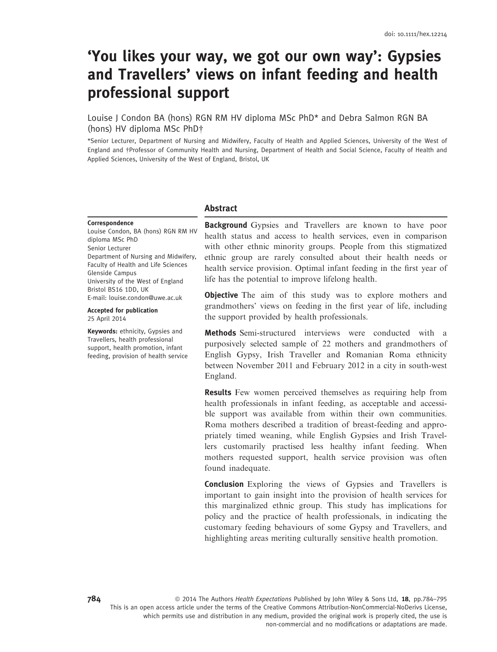## 'You likes your way, we got our own way': Gypsies and Travellers' views on infant feeding and health professional support

Louise J Condon BA (hons) RGN RM HV diploma MSc PhD\* and Debra Salmon RGN BA (hons) HV diploma MSc PhD†

\*Senior Lecturer, Department of Nursing and Midwifery, Faculty of Health and Applied Sciences, University of the West of England and †Professor of Community Health and Nursing, Department of Health and Social Science, Faculty of Health and Applied Sciences, University of the West of England, Bristol, UK

## Abstract

#### Correspondence

Louise Condon, BA (hons) RGN RM HV diploma MSc PhD Senior Lecturer Department of Nursing and Midwifery, Faculty of Health and Life Sciences Glenside Campus University of the West of England Bristol BS16 1DD, UK E-mail: louise.condon@uwe.ac.uk

Accepted for publication 25 April 2014

Keywords: ethnicity, Gypsies and Travellers, health professional support, health promotion, infant feeding, provision of health service

**Background** Gypsies and Travellers are known to have poor health status and access to health services, even in comparison with other ethnic minority groups. People from this stigmatized ethnic group are rarely consulted about their health needs or health service provision. Optimal infant feeding in the first year of life has the potential to improve lifelong health.

**Objective** The aim of this study was to explore mothers and grandmothers' views on feeding in the first year of life, including the support provided by health professionals.

Methods Semi-structured interviews were conducted with a purposively selected sample of 22 mothers and grandmothers of English Gypsy, Irish Traveller and Romanian Roma ethnicity between November 2011 and February 2012 in a city in south-west England.

Results Few women perceived themselves as requiring help from health professionals in infant feeding, as acceptable and accessible support was available from within their own communities. Roma mothers described a tradition of breast-feeding and appropriately timed weaning, while English Gypsies and Irish Travellers customarily practised less healthy infant feeding. When mothers requested support, health service provision was often found inadequate.

**Conclusion** Exploring the views of Gypsies and Travellers is important to gain insight into the provision of health services for this marginalized ethnic group. This study has implications for policy and the practice of health professionals, in indicating the customary feeding behaviours of some Gypsy and Travellers, and highlighting areas meriting culturally sensitive health promotion.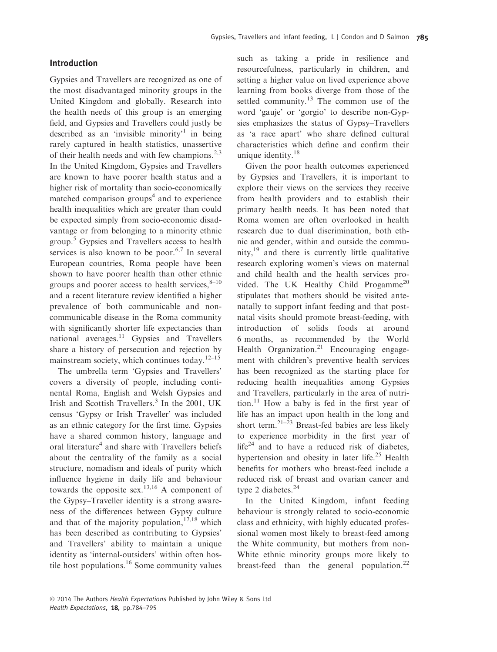### Introduction

Gypsies and Travellers are recognized as one of the most disadvantaged minority groups in the United Kingdom and globally. Research into the health needs of this group is an emerging field, and Gypsies and Travellers could justly be described as an 'invisible minority'<sup>1</sup> in being rarely captured in health statistics, unassertive of their health needs and with few champions. $2,3$ In the United Kingdom, Gypsies and Travellers are known to have poorer health status and a higher risk of mortality than socio-economically matched comparison groups<sup>4</sup> and to experience health inequalities which are greater than could be expected simply from socio-economic disadvantage or from belonging to a minority ethnic group.5 Gypsies and Travellers access to health services is also known to be poor.<sup>6,7</sup> In several European countries, Roma people have been shown to have poorer health than other ethnic groups and poorer access to health services,  $8-10$ and a recent literature review identified a higher prevalence of both communicable and noncommunicable disease in the Roma community with significantly shorter life expectancies than national averages.<sup>11</sup> Gypsies and Travellers share a history of persecution and rejection by mainstream society, which continues today.<sup>12–15</sup>

The umbrella term 'Gypsies and Travellers' covers a diversity of people, including continental Roma, English and Welsh Gypsies and Irish and Scottish Travellers.<sup>3</sup> In the 2001, UK census 'Gypsy or Irish Traveller' was included as an ethnic category for the first time. Gypsies have a shared common history, language and oral literature<sup>4</sup> and share with Travellers beliefs about the centrality of the family as a social structure, nomadism and ideals of purity which influence hygiene in daily life and behaviour towards the opposite sex.<sup>13,16</sup> A component of the Gypsy–Traveller identity is a strong awareness of the differences between Gypsy culture and that of the majority population,  $17,18$  which has been described as contributing to Gypsies' and Travellers' ability to maintain a unique identity as 'internal-outsiders' within often hostile host populations.<sup>16</sup> Some community values

such as taking a pride in resilience and resourcefulness, particularly in children, and setting a higher value on lived experience above learning from books diverge from those of the settled community.<sup>13</sup> The common use of the word 'gauje' or 'gorgio' to describe non-Gypsies emphasizes the status of Gypsy–Travellers as 'a race apart' who share defined cultural characteristics which define and confirm their unique identity.<sup>18</sup>

Given the poor health outcomes experienced by Gypsies and Travellers, it is important to explore their views on the services they receive from health providers and to establish their primary health needs. It has been noted that Roma women are often overlooked in health research due to dual discrimination, both ethnic and gender, within and outside the community, $19$  and there is currently little qualitative research exploring women's views on maternal and child health and the health services provided. The UK Healthy Child Progamme<sup>20</sup> stipulates that mothers should be visited antenatally to support infant feeding and that postnatal visits should promote breast-feeding, with introduction of solids foods at around 6 months, as recommended by the World Health Organization. $21$  Encouraging engagement with children's preventive health services has been recognized as the starting place for reducing health inequalities among Gypsies and Travellers, particularly in the area of nutrition.<sup>11</sup> How a baby is fed in the first year of life has an impact upon health in the long and short term.<sup>21–23</sup> Breast-fed babies are less likely to experience morbidity in the first year of  $life^{24}$  and to have a reduced risk of diabetes, hypertension and obesity in later life.<sup>25</sup> Health benefits for mothers who breast-feed include a reduced risk of breast and ovarian cancer and type 2 diabetes.<sup>24</sup>

In the United Kingdom, infant feeding behaviour is strongly related to socio-economic class and ethnicity, with highly educated professional women most likely to breast-feed among the White community, but mothers from non-White ethnic minority groups more likely to breast-feed than the general population.<sup>22</sup>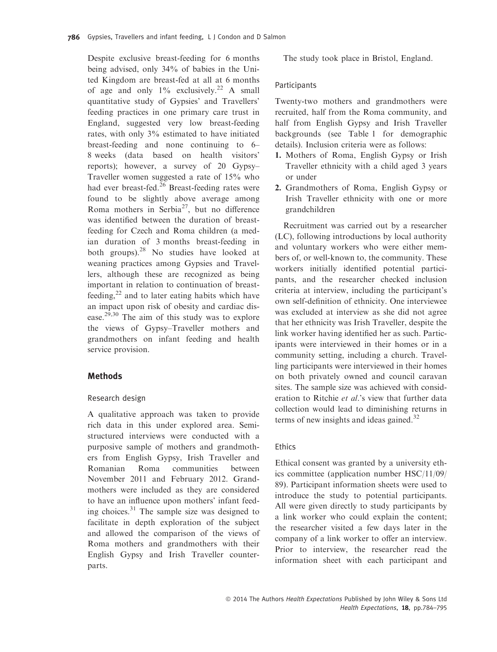Despite exclusive breast-feeding for 6 months being advised, only 34% of babies in the United Kingdom are breast-fed at all at 6 months of age and only  $1\%$  exclusively.<sup>22</sup> A small quantitative study of Gypsies' and Travellers' feeding practices in one primary care trust in England, suggested very low breast-feeding rates, with only 3% estimated to have initiated breast-feeding and none continuing to 6– 8 weeks (data based on health visitors' reports); however, a survey of 20 Gypsy– Traveller women suggested a rate of 15% who had ever breast-fed.<sup>26</sup> Breast-feeding rates were found to be slightly above average among Roma mothers in Serbia<sup>27</sup>, but no difference was identified between the duration of breastfeeding for Czech and Roma children (a median duration of 3 months breast-feeding in both groups).<sup>28</sup> No studies have looked at weaning practices among Gypsies and Travellers, although these are recognized as being important in relation to continuation of breastfeeding, $2<sup>2</sup>$  and to later eating habits which have an impact upon risk of obesity and cardiac disease.29,30 The aim of this study was to explore the views of Gypsy–Traveller mothers and grandmothers on infant feeding and health service provision.

## Methods

#### Research design

A qualitative approach was taken to provide rich data in this under explored area. Semistructured interviews were conducted with a purposive sample of mothers and grandmothers from English Gypsy, Irish Traveller and Romanian Roma communities between November 2011 and February 2012. Grandmothers were included as they are considered to have an influence upon mothers' infant feeding choices.<sup>31</sup> The sample size was designed to facilitate in depth exploration of the subject and allowed the comparison of the views of Roma mothers and grandmothers with their English Gypsy and Irish Traveller counterparts.

The study took place in Bristol, England.

#### Participants

Twenty-two mothers and grandmothers were recruited, half from the Roma community, and half from English Gypsy and Irish Traveller backgrounds (see Table 1 for demographic details). Inclusion criteria were as follows:

- 1. Mothers of Roma, English Gypsy or Irish Traveller ethnicity with a child aged 3 years or under
- 2. Grandmothers of Roma, English Gypsy or Irish Traveller ethnicity with one or more grandchildren

Recruitment was carried out by a researcher (LC), following introductions by local authority and voluntary workers who were either members of, or well-known to, the community. These workers initially identified potential participants, and the researcher checked inclusion criteria at interview, including the participant's own self-definition of ethnicity. One interviewee was excluded at interview as she did not agree that her ethnicity was Irish Traveller, despite the link worker having identified her as such. Participants were interviewed in their homes or in a community setting, including a church. Travelling participants were interviewed in their homes on both privately owned and council caravan sites. The sample size was achieved with consideration to Ritchie et al.'s view that further data collection would lead to diminishing returns in terms of new insights and ideas gained.<sup>32</sup>

### Ethics

Ethical consent was granted by a university ethics committee (application number HSC/11/09/ 89). Participant information sheets were used to introduce the study to potential participants. All were given directly to study participants by a link worker who could explain the content; the researcher visited a few days later in the company of a link worker to offer an interview. Prior to interview, the researcher read the information sheet with each participant and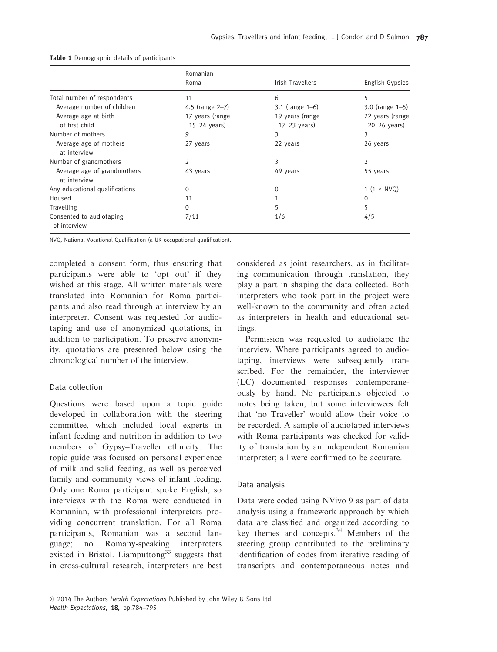|                                             | Romanian           |                    |                    |
|---------------------------------------------|--------------------|--------------------|--------------------|
|                                             | Roma               | Irish Travellers   | English Gypsies    |
| Total number of respondents                 | 11                 | 6                  | 5                  |
| Average number of children                  | 4.5 (range $2-7$ ) | 3.1 (range $1-6$ ) | 3.0 (range $1-5$ ) |
| Average age at birth                        | 17 years (range    | 19 years (range    | 22 years (range    |
| of first child                              | $15-24$ years)     | $17-23$ years)     | $20-26$ years)     |
| Number of mothers                           | 9                  | 3                  | 3                  |
| Average age of mothers<br>at interview      | 27 years           | 22 years           | 26 years           |
| Number of grandmothers                      | $\overline{2}$     | 3                  | 2                  |
| Average age of grandmothers<br>at interview | 43 years           | 49 years           | 55 years           |
| Any educational qualifications              | 0                  | 0                  | $1(1 \times NVO)$  |
| Housed                                      | 11                 |                    | $\mathbf 0$        |
| <b>Travelling</b>                           | $\Omega$           | 5                  | 5                  |
| Consented to audiotaping<br>of interview    | 7/11               | 1/6                | 4/5                |

Table 1 Demographic details of participants

NVQ, National Vocational Qualification (a UK occupational qualification).

completed a consent form, thus ensuring that participants were able to 'opt out' if they wished at this stage. All written materials were translated into Romanian for Roma participants and also read through at interview by an interpreter. Consent was requested for audiotaping and use of anonymized quotations, in addition to participation. To preserve anonymity, quotations are presented below using the chronological number of the interview.

#### Data collection

Questions were based upon a topic guide developed in collaboration with the steering committee, which included local experts in infant feeding and nutrition in addition to two members of Gypsy–Traveller ethnicity. The topic guide was focused on personal experience of milk and solid feeding, as well as perceived family and community views of infant feeding. Only one Roma participant spoke English, so interviews with the Roma were conducted in Romanian, with professional interpreters providing concurrent translation. For all Roma participants, Romanian was a second language; no Romany-speaking interpreters existed in Bristol. Liamputtong<sup>33</sup> suggests that in cross-cultural research, interpreters are best

considered as joint researchers, as in facilitating communication through translation, they play a part in shaping the data collected. Both interpreters who took part in the project were well-known to the community and often acted as interpreters in health and educational settings.

Permission was requested to audiotape the interview. Where participants agreed to audiotaping, interviews were subsequently transcribed. For the remainder, the interviewer (LC) documented responses contemporaneously by hand. No participants objected to notes being taken, but some interviewees felt that 'no Traveller' would allow their voice to be recorded. A sample of audiotaped interviews with Roma participants was checked for validity of translation by an independent Romanian interpreter; all were confirmed to be accurate.

#### Data analysis

Data were coded using NVivo 9 as part of data analysis using a framework approach by which data are classified and organized according to key themes and concepts.<sup>34</sup> Members of the steering group contributed to the preliminary identification of codes from iterative reading of transcripts and contemporaneous notes and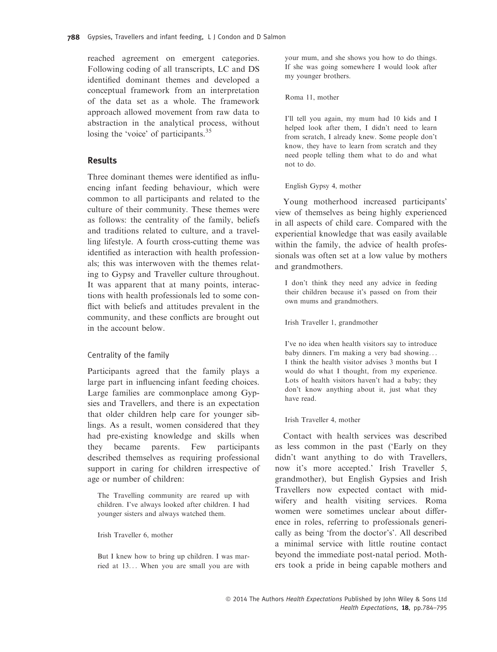reached agreement on emergent categories. Following coding of all transcripts, LC and DS identified dominant themes and developed a conceptual framework from an interpretation of the data set as a whole. The framework approach allowed movement from raw data to abstraction in the analytical process, without losing the 'voice' of participants.<sup>35</sup>

## Results

Three dominant themes were identified as influencing infant feeding behaviour, which were common to all participants and related to the culture of their community. These themes were as follows: the centrality of the family, beliefs and traditions related to culture, and a travelling lifestyle. A fourth cross-cutting theme was identified as interaction with health professionals; this was interwoven with the themes relating to Gypsy and Traveller culture throughout. It was apparent that at many points, interactions with health professionals led to some conflict with beliefs and attitudes prevalent in the community, and these conflicts are brought out in the account below.

## Centrality of the family

Participants agreed that the family plays a large part in influencing infant feeding choices. Large families are commonplace among Gypsies and Travellers, and there is an expectation that older children help care for younger siblings. As a result, women considered that they had pre-existing knowledge and skills when they became parents. Few participants described themselves as requiring professional support in caring for children irrespective of age or number of children:

The Travelling community are reared up with children. I've always looked after children. I had younger sisters and always watched them.

Irish Traveller 6, mother

But I knew how to bring up children. I was married at 13... When you are small you are with

your mum, and she shows you how to do things. If she was going somewhere I would look after my younger brothers.

#### Roma 11, mother

I'll tell you again, my mum had 10 kids and I helped look after them, I didn't need to learn from scratch, I already knew. Some people don't know, they have to learn from scratch and they need people telling them what to do and what not to do.

#### English Gypsy 4, mother

Young motherhood increased participants' view of themselves as being highly experienced in all aspects of child care. Compared with the experiential knowledge that was easily available within the family, the advice of health professionals was often set at a low value by mothers and grandmothers.

I don't think they need any advice in feeding their children because it's passed on from their own mums and grandmothers.

Irish Traveller 1, grandmother

I've no idea when health visitors say to introduce baby dinners. I'm making a very bad showing... I think the health visitor advises 3 months but I would do what I thought, from my experience. Lots of health visitors haven't had a baby; they don't know anything about it, just what they have read.

#### Irish Traveller 4, mother

Contact with health services was described as less common in the past ('Early on they didn't want anything to do with Travellers, now it's more accepted.' Irish Traveller 5, grandmother), but English Gypsies and Irish Travellers now expected contact with midwifery and health visiting services. Roma women were sometimes unclear about difference in roles, referring to professionals generically as being 'from the doctor's'. All described a minimal service with little routine contact beyond the immediate post-natal period. Mothers took a pride in being capable mothers and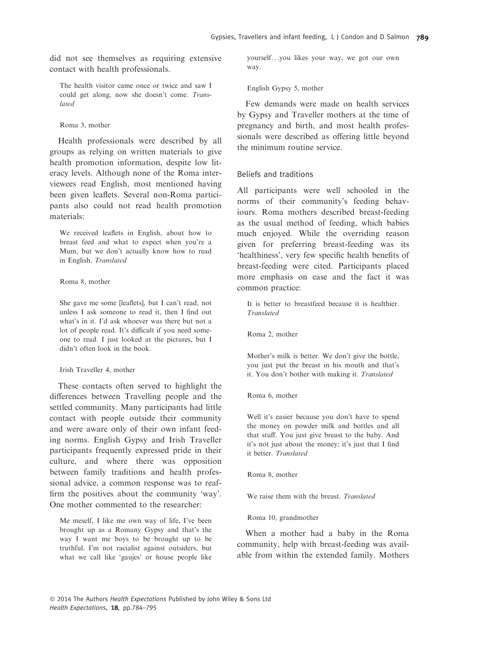did not see themselves as requiring extensive contact with health professionals.

The health visitor came once or twice and saw I could get along, now she doesn't come. Translated

Roma 3, mother

Health professionals were described by all groups as relying on written materials to give health promotion information, despite low literacy levels. Although none of the Roma interviewees read English, most mentioned having been given leaflets. Several non-Roma participants also could not read health promotion materials:

We received leaflets in English, about how to breast feed and what to expect when you're a Mum, but we don't actually know how to read in English. Translated

Roma 8, mother

She gave me some [leaflets], but I can't read, not unless I ask someone to read it, then I find out what's in it. I'd ask whoever was there but not a lot of people read. It's difficult if you need someone to read. I just looked at the pictures, but I didn't often look in the book.

#### Irish Traveller 4, mother

These contacts often served to highlight the differences between Travelling people and the settled community. Many participants had little contact with people outside their community and were aware only of their own infant feeding norms. English Gypsy and Irish Traveller participants frequently expressed pride in their culture, and where there was opposition between family traditions and health professional advice, a common response was to reaffirm the positives about the community 'way'. One mother commented to the researcher:

Me meself, I like me own way of life, I've been brought up as a Romany Gypsy and that's the way I want me boys to be brought up to be truthful. I'm not racialist against outsiders, but what we call like 'gaujes' or house people like yourself...you likes your way, we got our own way.

English Gypsy 5, mother

Few demands were made on health services by Gypsy and Traveller mothers at the time of pregnancy and birth, and most health professionals were described as offering little beyond the minimum routine service.

#### Beliefs and traditions

All participants were well schooled in the norms of their community's feeding behaviours. Roma mothers described breast-feeding as the usual method of feeding, which babies much enjoyed. While the overriding reason given for preferring breast-feeding was its 'healthiness', very few specific health benefits of breast-feeding were cited. Participants placed more emphasis on ease and the fact it was common practice:

It is better to breastfeed because it is healthier. Translated

Roma 2, mother

Mother's milk is better. We don't give the bottle, you just put the breast in his mouth and that's it. You don't bother with making it. Translated

Roma 6, mother

Well it's easier because you don't have to spend the money on powder milk and bottles and all that stuff. You just give breast to the baby. And it's not just about the money; it's just that I find it better. Translated

Roma 8, mother

We raise them with the breast. Translated

Roma 10, grandmother

When a mother had a baby in the Roma community, help with breast-feeding was available from within the extended family. Mothers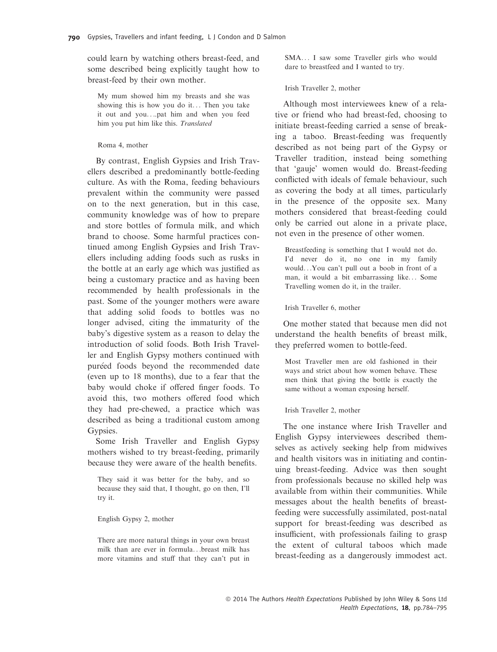could learn by watching others breast-feed, and some described being explicitly taught how to breast-feed by their own mother.

My mum showed him my breasts and she was showing this is how you do it... Then you take it out and you....pat him and when you feed him you put him like this. Translated

#### Roma 4, mother

By contrast, English Gypsies and Irish Travellers described a predominantly bottle-feeding culture. As with the Roma, feeding behaviours prevalent within the community were passed on to the next generation, but in this case, community knowledge was of how to prepare and store bottles of formula milk, and which brand to choose. Some harmful practices continued among English Gypsies and Irish Travellers including adding foods such as rusks in the bottle at an early age which was justified as being a customary practice and as having been recommended by health professionals in the past. Some of the younger mothers were aware that adding solid foods to bottles was no longer advised, citing the immaturity of the baby's digestive system as a reason to delay the introduction of solid foods. Both Irish Traveller and English Gypsy mothers continued with puréed foods beyond the recommended date (even up to 18 months), due to a fear that the baby would choke if offered finger foods. To avoid this, two mothers offered food which they had pre-chewed, a practice which was described as being a traditional custom among Gypsies.

Some Irish Traveller and English Gypsy mothers wished to try breast-feeding, primarily because they were aware of the health benefits.

#### English Gypsy 2, mother

There are more natural things in your own breast milk than are ever in formula...breast milk has more vitamins and stuff that they can't put in

SMA... I saw some Traveller girls who would dare to breastfeed and I wanted to try.

#### Irish Traveller 2, mother

Although most interviewees knew of a relative or friend who had breast-fed, choosing to initiate breast-feeding carried a sense of breaking a taboo. Breast-feeding was frequently described as not being part of the Gypsy or Traveller tradition, instead being something that 'gauje' women would do. Breast-feeding conflicted with ideals of female behaviour, such as covering the body at all times, particularly in the presence of the opposite sex. Many mothers considered that breast-feeding could only be carried out alone in a private place, not even in the presence of other women.

Breastfeeding is something that I would not do. I'd never do it, no one in my family would...You can't pull out a boob in front of a man, it would a bit embarrassing like... Some Travelling women do it, in the trailer.

#### Irish Traveller 6, mother

One mother stated that because men did not understand the health benefits of breast milk, they preferred women to bottle-feed.

Most Traveller men are old fashioned in their ways and strict about how women behave. These men think that giving the bottle is exactly the same without a woman exposing herself.

#### Irish Traveller 2, mother

The one instance where Irish Traveller and English Gypsy interviewees described themselves as actively seeking help from midwives and health visitors was in initiating and continuing breast-feeding. Advice was then sought from professionals because no skilled help was available from within their communities. While messages about the health benefits of breastfeeding were successfully assimilated, post-natal support for breast-feeding was described as insufficient, with professionals failing to grasp the extent of cultural taboos which made breast-feeding as a dangerously immodest act.

They said it was better for the baby, and so because they said that, I thought, go on then, I'll try it.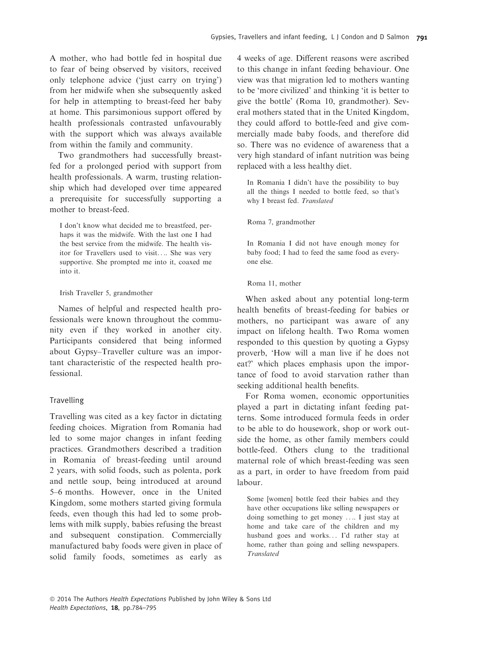A mother, who had bottle fed in hospital due to fear of being observed by visitors, received only telephone advice ('just carry on trying') from her midwife when she subsequently asked for help in attempting to breast-feed her baby at home. This parsimonious support offered by health professionals contrasted unfavourably with the support which was always available from within the family and community.

Two grandmothers had successfully breastfed for a prolonged period with support from health professionals. A warm, trusting relationship which had developed over time appeared a prerequisite for successfully supporting a mother to breast-feed.

I don't know what decided me to breastfeed, perhaps it was the midwife. With the last one I had the best service from the midwife. The health visitor for Travellers used to visit.... She was very supportive. She prompted me into it, coaxed me into it.

#### Irish Traveller 5, grandmother

Names of helpful and respected health professionals were known throughout the community even if they worked in another city. Participants considered that being informed about Gypsy–Traveller culture was an important characteristic of the respected health professional.

#### Travelling

Travelling was cited as a key factor in dictating feeding choices. Migration from Romania had led to some major changes in infant feeding practices. Grandmothers described a tradition in Romania of breast-feeding until around 2 years, with solid foods, such as polenta, pork and nettle soup, being introduced at around 5–6 months. However, once in the United Kingdom, some mothers started giving formula feeds, even though this had led to some problems with milk supply, babies refusing the breast and subsequent constipation. Commercially manufactured baby foods were given in place of solid family foods, sometimes as early as

4 weeks of age. Different reasons were ascribed to this change in infant feeding behaviour. One view was that migration led to mothers wanting to be 'more civilized' and thinking 'it is better to give the bottle' (Roma 10, grandmother). Several mothers stated that in the United Kingdom, they could afford to bottle-feed and give commercially made baby foods, and therefore did so. There was no evidence of awareness that a very high standard of infant nutrition was being replaced with a less healthy diet.

In Romania I didn't have the possibility to buy all the things I needed to bottle feed, so that's why I breast fed. Translated

#### Roma 7, grandmother

In Romania I did not have enough money for baby food; I had to feed the same food as everyone else.

#### Roma 11, mother

When asked about any potential long-term health benefits of breast-feeding for babies or mothers, no participant was aware of any impact on lifelong health. Two Roma women responded to this question by quoting a Gypsy proverb, 'How will a man live if he does not eat?' which places emphasis upon the importance of food to avoid starvation rather than seeking additional health benefits.

For Roma women, economic opportunities played a part in dictating infant feeding patterns. Some introduced formula feeds in order to be able to do housework, shop or work outside the home, as other family members could bottle-feed. Others clung to the traditional maternal role of which breast-feeding was seen as a part, in order to have freedom from paid labour.

Some [women] bottle feed their babies and they have other occupations like selling newspapers or doing something to get money .... I just stay at home and take care of the children and my husband goes and works... I'd rather stay at home, rather than going and selling newspapers. Translated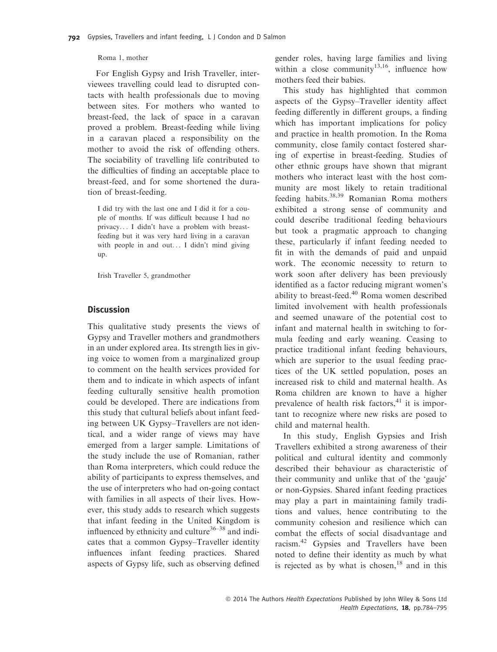#### Roma 1, mother

For English Gypsy and Irish Traveller, interviewees travelling could lead to disrupted contacts with health professionals due to moving between sites. For mothers who wanted to breast-feed, the lack of space in a caravan proved a problem. Breast-feeding while living in a caravan placed a responsibility on the mother to avoid the risk of offending others. The sociability of travelling life contributed to the difficulties of finding an acceptable place to breast-feed, and for some shortened the duration of breast-feeding.

I did try with the last one and I did it for a couple of months. If was difficult because I had no privacy... I didn't have a problem with breastfeeding but it was very hard living in a caravan with people in and out... I didn't mind giving up.

Irish Traveller 5, grandmother

#### **Discussion**

This qualitative study presents the views of Gypsy and Traveller mothers and grandmothers in an under explored area. Its strength lies in giving voice to women from a marginalized group to comment on the health services provided for them and to indicate in which aspects of infant feeding culturally sensitive health promotion could be developed. There are indications from this study that cultural beliefs about infant feeding between UK Gypsy–Travellers are not identical, and a wider range of views may have emerged from a larger sample. Limitations of the study include the use of Romanian, rather than Roma interpreters, which could reduce the ability of participants to express themselves, and the use of interpreters who had on-going contact with families in all aspects of their lives. However, this study adds to research which suggests that infant feeding in the United Kingdom is influenced by ethnicity and culture $36-38$  and indicates that a common Gypsy–Traveller identity influences infant feeding practices. Shared aspects of Gypsy life, such as observing defined

gender roles, having large families and living within a close community<sup>13,16</sup>, influence how mothers feed their babies.

This study has highlighted that common aspects of the Gypsy–Traveller identity affect feeding differently in different groups, a finding which has important implications for policy and practice in health promotion. In the Roma community, close family contact fostered sharing of expertise in breast-feeding. Studies of other ethnic groups have shown that migrant mothers who interact least with the host community are most likely to retain traditional feeding habits.38,39 Romanian Roma mothers exhibited a strong sense of community and could describe traditional feeding behaviours but took a pragmatic approach to changing these, particularly if infant feeding needed to fit in with the demands of paid and unpaid work. The economic necessity to return to work soon after delivery has been previously identified as a factor reducing migrant women's ability to breast-feed.<sup>40</sup> Roma women described limited involvement with health professionals and seemed unaware of the potential cost to infant and maternal health in switching to formula feeding and early weaning. Ceasing to practice traditional infant feeding behaviours, which are superior to the usual feeding practices of the UK settled population, poses an increased risk to child and maternal health. As Roma children are known to have a higher prevalence of health risk factors,  $41$  it is important to recognize where new risks are posed to child and maternal health.

In this study, English Gypsies and Irish Travellers exhibited a strong awareness of their political and cultural identity and commonly described their behaviour as characteristic of their community and unlike that of the 'gauje' or non-Gypsies. Shared infant feeding practices may play a part in maintaining family traditions and values, hence contributing to the community cohesion and resilience which can combat the effects of social disadvantage and racism.<sup>42</sup> Gypsies and Travellers have been noted to define their identity as much by what is rejected as by what is chosen, $18$  and in this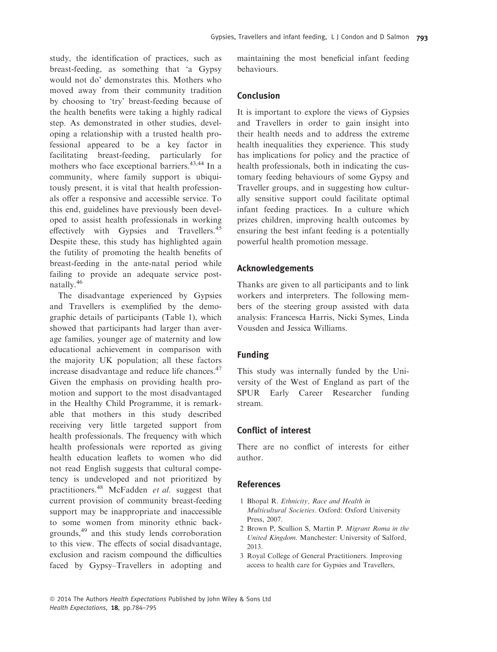study, the identification of practices, such as breast-feeding, as something that 'a Gypsy would not do' demonstrates this. Mothers who moved away from their community tradition by choosing to 'try' breast-feeding because of the health benefits were taking a highly radical step. As demonstrated in other studies, developing a relationship with a trusted health professional appeared to be a key factor in facilitating breast-feeding, particularly for mothers who face exceptional barriers.<sup>43,44</sup> In a community, where family support is ubiquitously present, it is vital that health professionals offer a responsive and accessible service. To this end, guidelines have previously been developed to assist health professionals in working effectively with Gypsies and Travellers.<sup>45</sup> Despite these, this study has highlighted again the futility of promoting the health benefits of breast-feeding in the ante-natal period while failing to provide an adequate service postnatally.<sup>46</sup>

The disadvantage experienced by Gypsies and Travellers is exemplified by the demographic details of participants (Table 1), which showed that participants had larger than average families, younger age of maternity and low educational achievement in comparison with the majority UK population; all these factors increase disadvantage and reduce life chances.<sup>47</sup> Given the emphasis on providing health promotion and support to the most disadvantaged in the Healthy Child Programme, it is remarkable that mothers in this study described receiving very little targeted support from health professionals. The frequency with which health professionals were reported as giving health education leaflets to women who did not read English suggests that cultural competency is undeveloped and not prioritized by practitioners.<sup>48</sup> McFadden et al. suggest that current provision of community breast-feeding support may be inappropriate and inaccessible to some women from minority ethnic backgrounds,49 and this study lends corroboration to this view. The effects of social disadvantage, exclusion and racism compound the difficulties faced by Gypsy–Travellers in adopting and

maintaining the most beneficial infant feeding behaviours.

## Conclusion

It is important to explore the views of Gypsies and Travellers in order to gain insight into their health needs and to address the extreme health inequalities they experience. This study has implications for policy and the practice of health professionals, both in indicating the customary feeding behaviours of some Gypsy and Traveller groups, and in suggesting how culturally sensitive support could facilitate optimal infant feeding practices. In a culture which prizes children, improving health outcomes by ensuring the best infant feeding is a potentially powerful health promotion message.

## Acknowledgements

Thanks are given to all participants and to link workers and interpreters. The following members of the steering group assisted with data analysis: Francesca Harris, Nicki Symes, Linda Vousden and Jessica Williams.

## Funding

This study was internally funded by the University of the West of England as part of the SPUR Early Career Researcher funding stream.

## Conflict of interest

There are no conflict of interests for either author.

## References

- 1 Bhopal R. Ethnicity, Race and Health in Multicultural Societies. Oxford: Oxford University Press, 2007.
- 2 Brown P, Scullion S, Martin P. Migrant Roma in the United Kingdom. Manchester: University of Salford, 2013.
- 3 Royal College of General Practitioners. Improving access to health care for Gypsies and Travellers,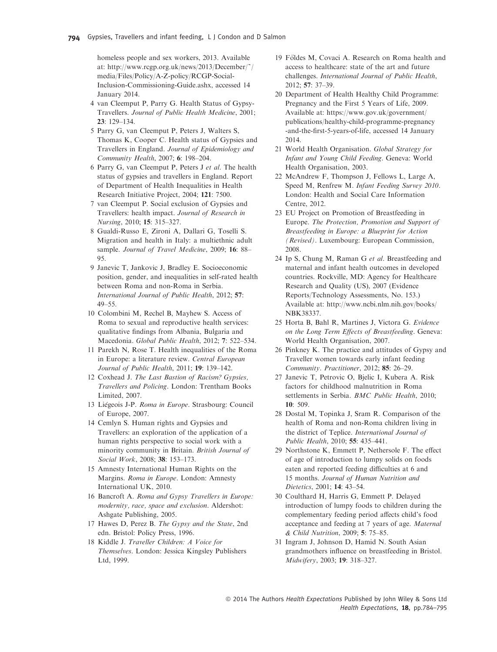homeless people and sex workers, 2013. Available at: http://www.rcgp.org.uk/news/2013/December/~/ media/Files/Policy/A-Z-policy/RCGP-Social-Inclusion-Commissioning-Guide.ashx, accessed 14 January 2014.

- 4 van Cleemput P, Parry G. Health Status of Gypsy-Travellers. Journal of Public Health Medicine, 2001; 23: 129–134.
- 5 Parry G, van Cleemput P, Peters J, Walters S, Thomas K, Cooper C. Health status of Gypsies and Travellers in England. Journal of Epidemiology and Community Health, 2007; 6: 198–204.
- 6 Parry G, van Cleemput P, Peters J et al. The health status of gypsies and travellers in England. Report of Department of Health Inequalities in Health Research Initiative Project, 2004; 121: 7500.
- 7 van Cleemput P. Social exclusion of Gypsies and Travellers: health impact. Journal of Research in Nursing, 2010; 15: 315–327.
- 8 Gualdi-Russo E, Zironi A, Dallari G, Toselli S. Migration and health in Italy: a multiethnic adult sample. Journal of Travel Medicine, 2009; 16: 88-95.
- 9 Janevic T, Jankovic J, Bradley E. Socioeconomic position, gender, and inequalities in self-rated health between Roma and non-Roma in Serbia. International Journal of Public Health, 2012; 57: 49–55.
- 10 Colombini M, Rechel B, Mayhew S. Access of Roma to sexual and reproductive health services: qualitative findings from Albania, Bulgaria and Macedonia. Global Public Health, 2012; 7: 522–534.
- 11 Parekh N, Rose T. Health inequalities of the Roma in Europe: a literature review. Central European Journal of Public Health, 2011; 19: 139–142.
- 12 Coxhead J. The Last Bastion of Racism? Gypsies, Travellers and Policing. London: Trentham Books Limited, 2007.
- 13 Liégeois J-P. Roma in Europe. Strasbourg: Council of Europe, 2007.
- 14 Cemlyn S. Human rights and Gypsies and Travellers: an exploration of the application of a human rights perspective to social work with a minority community in Britain. British Journal of Social Work, 2008; 38: 153–173.
- 15 Amnesty International Human Rights on the Margins. Roma in Europe. London: Amnesty International UK, 2010.
- 16 Bancroft A. Roma and Gypsy Travellers in Europe: modernity, race, space and exclusion. Aldershot: Ashgate Publishing, 2005.
- 17 Hawes D, Perez B. The Gypsy and the State, 2nd edn. Bristol: Policy Press, 1996.
- 18 Kiddle J. Traveller Children: A Voice for Themselves. London: Jessica Kingsley Publishers Ltd, 1999.
- 19 Földes M, Covaci A. Research on Roma health and access to healthcare: state of the art and future challenges. International Journal of Public Health, 2012; 57: 37–39.
- 20 Department of Health Healthy Child Programme: Pregnancy and the First 5 Years of Life, 2009. Available at: https://www.gov.uk/government/ publications/healthy-child-programme-pregnancy -and-the-first-5-years-of-life, accessed 14 January 2014.
- 21 World Health Organisation. Global Strategy for Infant and Young Child Feeding. Geneva: World Health Organisation, 2003.
- 22 McAndrew F, Thompson J, Fellows L, Large A, Speed M, Renfrew M. Infant Feeding Survey 2010. London: Health and Social Care Information Centre, 2012.
- 23 EU Project on Promotion of Breastfeeding in Europe. The Protection, Promotion and Support of Breastfeeding in Europe: a Blueprint for Action (Revised). Luxembourg: European Commission, 2008.
- 24 Ip S, Chung M, Raman G et al. Breastfeeding and maternal and infant health outcomes in developed countries. Rockville, MD: Agency for Healthcare Research and Quality (US), 2007 (Evidence Reports/Technology Assessments, No. 153.) Available at: http://www.ncbi.nlm.nih.gov/books/ NBK38337.
- 25 Horta B, Bahl R, Martines J, Victora G. Evidence on the Long Term Effects of Breastfeeding. Geneva: World Health Organisation, 2007.
- 26 Pinkney K. The practice and attitudes of Gypsy and Traveller women towards early infant feeding Community. Practitioner, 2012; 85: 26–29.
- 27 Janevic T, Petrovic O, Bjelic I, Kubera A. Risk factors for childhood malnutrition in Roma settlements in Serbia. BMC Public Health, 2010; 10: 509.
- 28 Dostal M, Topinka J, Sram R. Comparison of the health of Roma and non-Roma children living in the district of Teplice. International Journal of Public Health, 2010; 55: 435–441.
- 29 Northstone K, Emmett P, Nethersole F. The effect of age of introduction to lumpy solids on foods eaten and reported feeding difficulties at 6 and 15 months. Journal of Human Nutrition and Dietetics, 2001; 14: 43–54.
- 30 Coulthard H, Harris G, Emmett P. Delayed introduction of lumpy foods to children during the complementary feeding period affects child's food acceptance and feeding at 7 years of age. Maternal & Child Nutrition, 2009; 5: 75–85.
- 31 Ingram J, Johnson D, Hamid N. South Asian grandmothers influence on breastfeeding in Bristol. Midwifery, 2003; 19: 318–327.